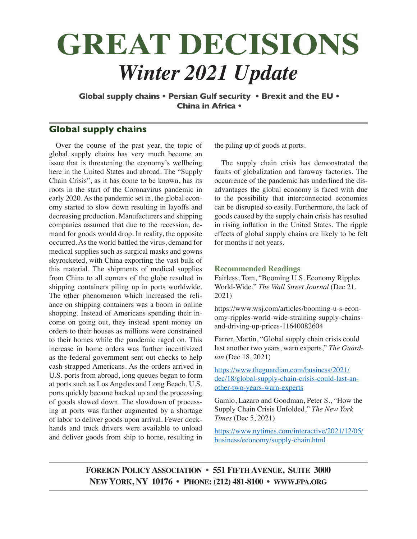# **GREAT DECISIONS** *Winter 2021 Update*

**Global supply chains • Persian Gulf security • Brexit and the EU • China in Africa •**

# **Global supply chains**

Over the course of the past year, the topic of global supply chains has very much become an issue that is threatening the economy's wellbeing here in the United States and abroad. The "Supply Chain Crisis", as it has come to be known, has its roots in the start of the Coronavirus pandemic in early 2020. As the pandemic set in, the global economy started to slow down resulting in layoffs and decreasing production. Manufacturers and shipping companies assumed that due to the recession, demand for goods would drop. In reality, the opposite occurred. As the world battled the virus, demand for medical supplies such as surgical masks and gowns skyrocketed, with China exporting the vast bulk of this material. The shipments of medical supplies from China to all corners of the globe resulted in shipping containers piling up in ports worldwide. The other phenomenon which increased the reliance on shipping containers was a boom in online shopping. Instead of Americans spending their income on going out, they instead spent money on orders to their houses as millions were constrained to their homes while the pandemic raged on. This increase in home orders was further incentivized as the federal government sent out checks to help cash-strapped Americans. As the orders arrived in U.S. ports from abroad, long queues began to form at ports such as Los Angeles and Long Beach. U.S. ports quickly became backed up and the processing of goods slowed down. The slowdown of processing at ports was further augmented by a shortage of labor to deliver goods upon arrival. Fewer dockhands and truck drivers were available to unload and deliver goods from ship to home, resulting in

the piling up of goods at ports.

The supply chain crisis has demonstrated the faults of globalization and faraway factories. The occurrence of the pandemic has underlined the disadvantages the global economy is faced with due to the possibility that interconnected economies can be disrupted so easily. Furthermore, the lack of goods caused by the supply chain crisis has resulted in rising inflation in the United States. The ripple effects of global supply chains are likely to be felt for months if not years.

#### **Recommended Readings**

Fairless, Tom, "Booming U.S. Economy Ripples World-Wide," *The Wall Street Journal* (Dec 21, 2021)

https://www.wsj.com/articles/booming-u-s-economy-ripples-world-wide-straining-supply-chainsand-driving-up-prices-11640082604

Farrer, Martin, "Global supply chain crisis could last another two years, warn experts," *The Guardian* (Dec 18, 2021)

https://www.theguardian.com/business/2021/ dec/18/global-supply-chain-crisis-could-last-another-two-years-warn-experts

Gamio, Lazaro and Goodman, Peter S., "How the Supply Chain Crisis Unfolded," *The New York Times* (Dec 5, 2021)

https://www.nytimes.com/interactive/2021/12/05/ business/economy/supply-chain.html

## **Foreign Policy Association • 551 Fifth Avenue, Suite 3000 New York, NY 10176 • Phone: (212) 481-8100 • www.fpa.org**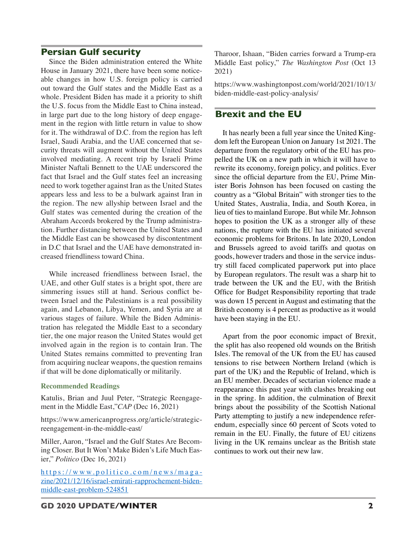## **Persian Gulf security**

Since the Biden administration entered the White House in January 2021, there have been some noticeable changes in how U.S. foreign policy is carried out toward the Gulf states and the Middle East as a whole. President Biden has made it a priority to shift the U.S. focus from the Middle East to China instead, in large part due to the long history of deep engagement in the region with little return in value to show for it. The withdrawal of D.C. from the region has left Israel, Saudi Arabia, and the UAE concerned that security threats will augment without the United States involved mediating. A recent trip by Israeli Prime Minister Naftali Bennett to the UAE underscored the fact that Israel and the Gulf states feel an increasing need to work together against Iran as the United States appears less and less to be a bulwark against Iran in the region. The new allyship between Israel and the Gulf states was cemented during the creation of the Abraham Accords brokered by the Trump administration. Further distancing between the United States and the Middle East can be showcased by discontentment in D.C that Israel and the UAE have demonstrated increased friendliness toward China.

While increased friendliness between Israel, the UAE, and other Gulf states is a bright spot, there are simmering issues still at hand. Serious conflict between Israel and the Palestinians is a real possibility again, and Lebanon, Libya, Yemen, and Syria are at various stages of failure. While the Biden Administration has relegated the Middle East to a secondary tier, the one major reason the United States would get involved again in the region is to contain Iran. The United States remains committed to preventing Iran from acquiring nuclear weapons, the question remains if that will be done diplomatically or militarily.

#### **Recommended Readings**

Katulis, Brian and Juul Peter, "Strategic Reengagement in the Middle East,"*CAP* (Dec 16, 2021)

https://www.americanprogress.org/article/strategicreengagement-in-the-middle-east/

Miller, Aaron, "Israel and the Gulf States Are Becoming Closer. But It Won't Make Biden's Life Much Easier," *Politico* (Dec 16, 2021)

https://www.politico.com/news/maga zine/2021/12/16/israel-emirati-rapprochement-bidenmiddle-east-problem-524851

Tharoor, Ishaan, "Biden carries forward a Trump-era Middle East policy," *The Washington Post* (Oct 13 2021)

https://www.washingtonpost.com/world/2021/10/13/ biden-middle-east-policy-analysis/

## **Brexit and the EU**

It has nearly been a full year since the United Kingdom left the European Union on January 1st 2021. The departure from the regulatory orbit of the EU has propelled the UK on a new path in which it will have to rewrite its economy, foreign policy, and politics. Ever since the official departure from the EU, Prime Minister Boris Johnson has been focused on casting the country as a "Global Britain" with stronger ties to the United States, Australia, India, and South Korea, in lieu of ties to mainland Europe. But while Mr. Johnson hopes to position the UK as a stronger ally of these nations, the rupture with the EU has initiated several economic problems for Britons. In late 2020, London and Brussels agreed to avoid tariffs and quotas on goods, however traders and those in the service industry still faced complicated paperwork put into place by European regulators. The result was a sharp hit to trade between the UK and the EU, with the British Office for Budget Responsibility reporting that trade was down 15 percent in August and estimating that the British economy is 4 percent as productive as it would have been staying in the EU.

Apart from the poor economic impact of Brexit, the split has also reopened old wounds on the British Isles. The removal of the UK from the EU has caused tensions to rise between Northern Ireland (which is part of the UK) and the Republic of Ireland, which is an EU member. Decades of sectarian violence made a reappearance this past year with clashes breaking out in the spring. In addition, the culmination of Brexit brings about the possibility of the Scottish National Party attempting to justify a new independence referendum, especially since 60 percent of Scots voted to remain in the EU. Finally, the future of EU citizens living in the UK remains unclear as the British state continues to work out their new law.